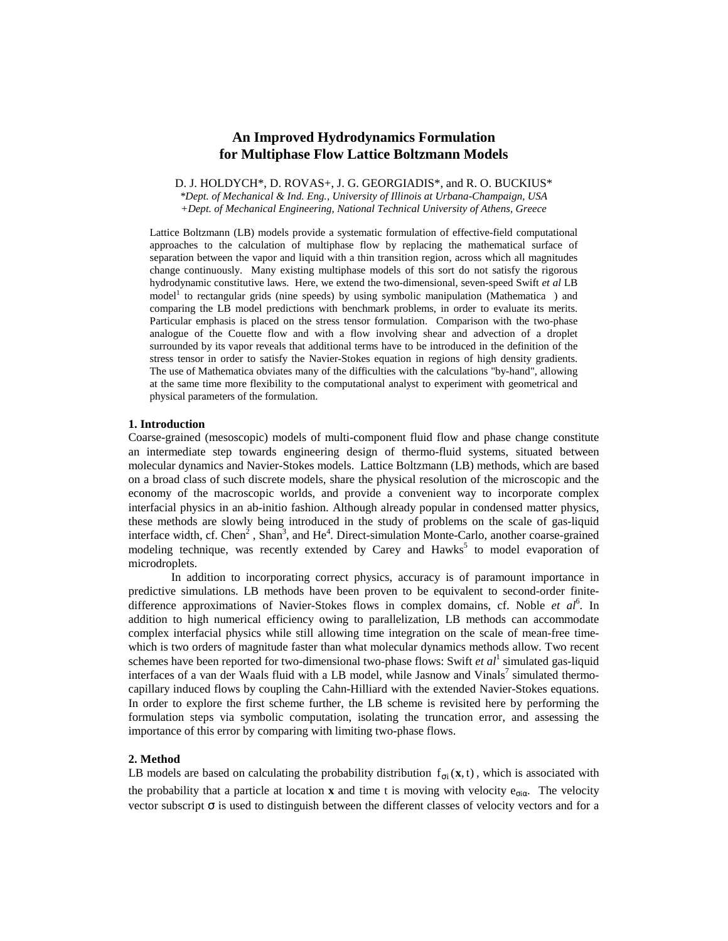# **An Improved Hydrodynamics Formulation for Multiphase Flow Lattice Boltzmann Models**

D. J. HOLDYCH\*, D. ROVAS+, J. G. GEORGIADIS\*, and R. O. BUCKIUS\*

*\*Dept. of Mechanical & Ind. Eng., University of Illinois at Urbana-Champaign, USA +Dept. of Mechanical Engineering, National Technical University of Athens, Greece*

Lattice Boltzmann (LB) models provide a systematic formulation of effective-field computational approaches to the calculation of multiphase flow by replacing the mathematical surface of separation between the vapor and liquid with a thin transition region, across which all magnitudes change continuously. Many existing multiphase models of this sort do not satisfy the rigorous hydrodynamic constitutive laws. Here, we extend the two-dimensional, seven-speed Swift *et al* LB model<sup>1</sup> to rectangular grids (nine speeds) by using symbolic manipulation (Mathematica™) and comparing the LB model predictions with benchmark problems, in order to evaluate its merits. Particular emphasis is placed on the stress tensor formulation. Comparison with the two-phase analogue of the Couette flow and with a flow involving shear and advection of a droplet surrounded by its vapor reveals that additional terms have to be introduced in the definition of the stress tensor in order to satisfy the Navier-Stokes equation in regions of high density gradients. The use of Mathematica obviates many of the difficulties with the calculations "by-hand", allowing at the same time more flexibility to the computational analyst to experiment with geometrical and physical parameters of the formulation.

### **1. Introduction**

Coarse-grained (mesoscopic) models of multi-component fluid flow and phase change constitute an intermediate step towards engineering design of thermo-fluid systems, situated between molecular dynamics and Navier-Stokes models. Lattice Boltzmann (LB) methods, which are based on a broad class of such discrete models, share the physical resolution of the microscopic and the economy of the macroscopic worlds, and provide a convenient way to incorporate complex interfacial physics in an ab-initio fashion. Although already popular in condensed matter physics, these methods are slowly being introduced in the study of problems on the scale of gas-liquid interface width, cf. Chen<sup>2</sup>, Shan<sup>3</sup>, and He<sup>4</sup>. Direct-simulation Monte-Carlo, another coarse-grained modeling technique, was recently extended by Carey and Hawks<sup>5</sup> to model evaporation of microdroplets.

In addition to incorporating correct physics, accuracy is of paramount importance in predictive simulations. LB methods have been proven to be equivalent to second-order finitedifference approximations of Navier-Stokes flows in complex domains, cf. Noble et al<sup>6</sup>. In addition to high numerical efficiency owing to parallelization, LB methods can accommodate complex interfacial physics while still allowing time integration on the scale of mean-free timewhich is two orders of magnitude faster than what molecular dynamics methods allow. Two recent schemes have been reported for two-dimensional two-phase flows: Swift *et al* 1 simulated gas-liquid interfaces of a van der Waals fluid with a LB model, while Jasnow and Vinals<sup>7</sup> simulated thermocapillary induced flows by coupling the Cahn-Hilliard with the extended Navier-Stokes equations. In order to explore the first scheme further, the LB scheme is revisited here by performing the formulation steps via symbolic computation, isolating the truncation error, and assessing the importance of this error by comparing with limiting two-phase flows.

# **2. Method**

LB models are based on calculating the probability distribution  $f_{\sigma i}(x, t)$ , which is associated with the probability that a particle at location **x** and time t is moving with velocity  $e_{\sigma i\alpha}$ . The velocity vector subscript  $\sigma$  is used to distinguish between the different classes of velocity vectors and for a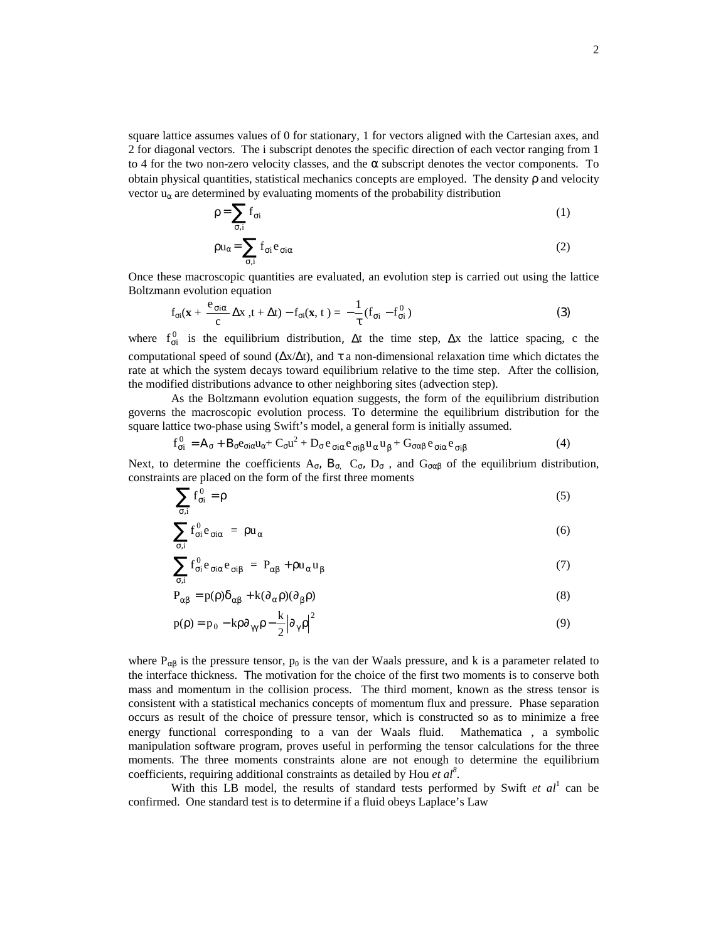square lattice assumes values of 0 for stationary, 1 for vectors aligned with the Cartesian axes, and 2 for diagonal vectors. The i subscript denotes the specific direction of each vector ranging from 1 to 4 for the two non-zero velocity classes, and the  $\alpha$  subscript denotes the vector components. To obtain physical quantities, statistical mechanics concepts are employed. The density ρ and velocity vector  $u_{\alpha}$  are determined by evaluating moments of the probability distribution

$$
\rho = \sum_{\sigma,i} f_{\sigma i} \tag{1}
$$

$$
\rho u_{\alpha} = \sum_{\sigma,i} f_{\sigma i} e_{\sigma i \alpha} \tag{2}
$$

Once these macroscopic quantities are evaluated, an evolution step is carried out using the lattice Boltzmann evolution equation

$$
f_{\sigma i}(\mathbf{x} + \frac{e_{\sigma i \alpha}}{c} \Delta x, t + \Delta t) - f_{\sigma i}(\mathbf{x}, t) = -\frac{1}{\tau} (f_{\sigma i} - f_{\sigma i}^0)
$$
(3)

where  $f_{\sigma i}^0$  is the equilibrium distribution,  $\Delta t$  the time step,  $\Delta x$  the lattice spacing, c the computational speed of sound ( $\Delta x/\Delta t$ ), and τ a non-dimensional relaxation time which dictates the rate at which the system decays toward equilibrium relative to the time step. After the collision, the modified distributions advance to other neighboring sites (advection step).

As the Boltzmann evolution equation suggests, the form of the equilibrium distribution governs the macroscopic evolution process. To determine the equilibrium distribution for the square lattice two-phase using Swift's model, a general form is initially assumed.

$$
f_{\sigma i}^{0} = A_{\sigma} + B_{\sigma} e_{\sigma i \alpha} u_{\alpha} + C_{\sigma} u^{2} + D_{\sigma} e_{\sigma i \alpha} e_{\sigma i \beta} u_{\alpha} u_{\beta} + G_{\sigma \alpha \beta} e_{\sigma i \alpha} e_{\sigma i \beta}
$$
(4)

Next, to determine the coefficients  $A_{\sigma}$ ,  $B_{\sigma}$ ,  $C_{\sigma}$ ,  $D_{\sigma}$ , and  $G_{\sigma\alpha\beta}$  of the equilibrium distribution, constraints are placed on the form of the first three moments

$$
\sum_{\sigma,i} f_{\sigma i}^0 = \rho \tag{5}
$$

$$
\sum_{\sigma,i} f_{\sigma i}^0 e_{\sigma i \alpha} = \rho u_{\alpha} \tag{6}
$$

$$
\sum_{\sigma,i} f_{\sigma i}^0 e_{\sigma i \alpha} e_{\sigma i \beta} = P_{\alpha \beta} + \rho u_{\alpha} u_{\beta} \tag{7}
$$

$$
P_{\alpha\beta} = p(\rho)\delta_{\alpha\beta} + k(\partial_{\alpha}\rho)(\partial_{\beta}\rho)
$$
\n(8)

$$
p(\rho) = p_0 - k\rho \partial_{\gamma\gamma} \rho - \frac{k}{2} |\partial_{\gamma} \rho|^2
$$
\n(9)

where  $P_{\alpha\beta}$  is the pressure tensor,  $p_0$  is the van der Waals pressure, and k is a parameter related to the interface thickness. Τhe motivation for the choice of the first two moments is to conserve both mass and momentum in the collision process. The third moment, known as the stress tensor is consistent with a statistical mechanics concepts of momentum flux and pressure. Phase separation occurs as result of the choice of pressure tensor, which is constructed so as to minimize a free energy functional corresponding to a van der Waals fluid. Mathematica<sup>™</sup>, a symbolic manipulation software program, proves useful in performing the tensor calculations for the three moments. The three moments constraints alone are not enough to determine the equilibrium coefficients, requiring additional constraints as detailed by Hou *et al<sup>8</sup>* .

With this LB model, the results of standard tests performed by Swift *et al*<sup>1</sup> can be confirmed. One standard test is to determine if a fluid obeys Laplace's Law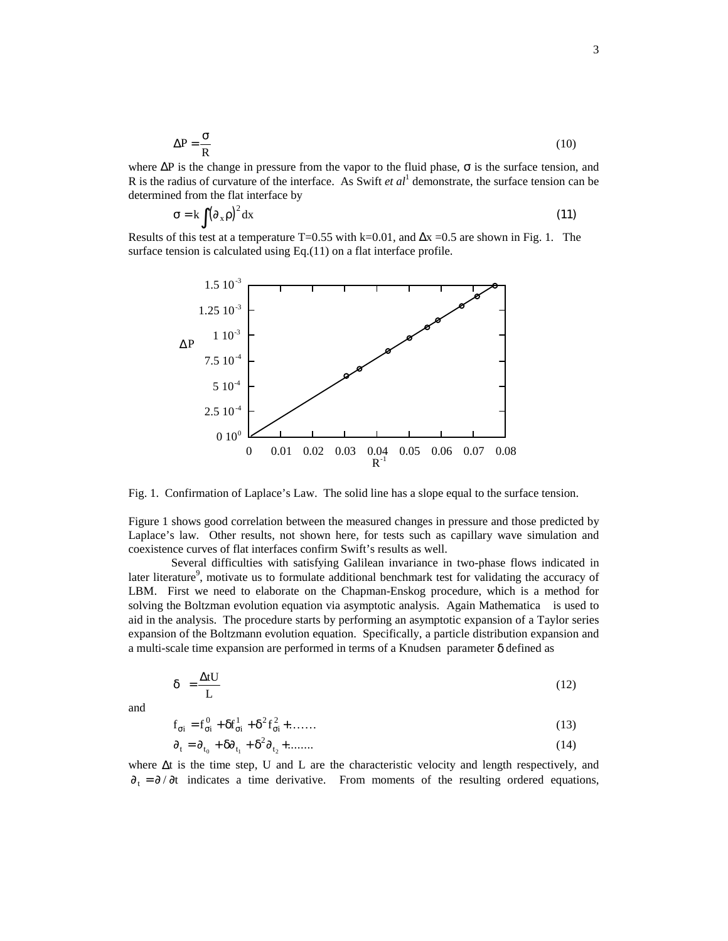$$
\Delta P = \frac{\sigma}{R}
$$
 (10)

where  $\Delta P$  is the change in pressure from the vapor to the fluid phase,  $\sigma$  is the surface tension, and R is the radius of curvature of the interface. As Swift *et al* 1 demonstrate, the surface tension can be determined from the flat interface by

$$
\sigma = k \int (\partial_x \rho)^2 dx
$$
 (11)

Results of this test at a temperature T=0.55 with k=0.01, and  $\Delta x = 0.5$  are shown in Fig. 1. The surface tension is calculated using Eq.(11) on a flat interface profile.



Fig. 1. Confirmation of Laplace's Law. The solid line has a slope equal to the surface tension.

Figure 1 shows good correlation between the measured changes in pressure and those predicted by Laplace's law. Other results, not shown here, for tests such as capillary wave simulation and coexistence curves of flat interfaces confirm Swift's results as well.

Several difficulties with satisfying Galilean invariance in two-phase flows indicated in later literature<sup>9</sup>, motivate us to formulate additional benchmark test for validating the accuracy of LBM. First we need to elaborate on the Chapman-Enskog procedure, which is a method for solving the Boltzman evolution equation via asymptotic analysis. Again Mathematica™ is used to aid in the analysis. The procedure starts by performing an asymptotic expansion of a Taylor series expansion of the Boltzmann evolution equation. Specifically, a particle distribution expansion and a multi-scale time expansion are performed in terms of a Knudsen parameter δ defined as

$$
\delta = \frac{\Delta t U}{L} \tag{12}
$$

and

$$
\mathbf{f}_{\sigma i} = \mathbf{f}_{\sigma i}^0 + \delta \mathbf{f}_{\sigma i}^1 + \delta^2 \mathbf{f}_{\sigma i}^2 + \dots \tag{13}
$$

$$
\partial_t = \partial_{t_0} + \delta \partial_{t_1} + \delta^2 \partial_{t_2} + \dots \tag{14}
$$

where ∆t is the time step, U and L are the characteristic velocity and length respectively, and  $\partial_t = \partial / \partial t$  indicates a time derivative. From moments of the resulting ordered equations,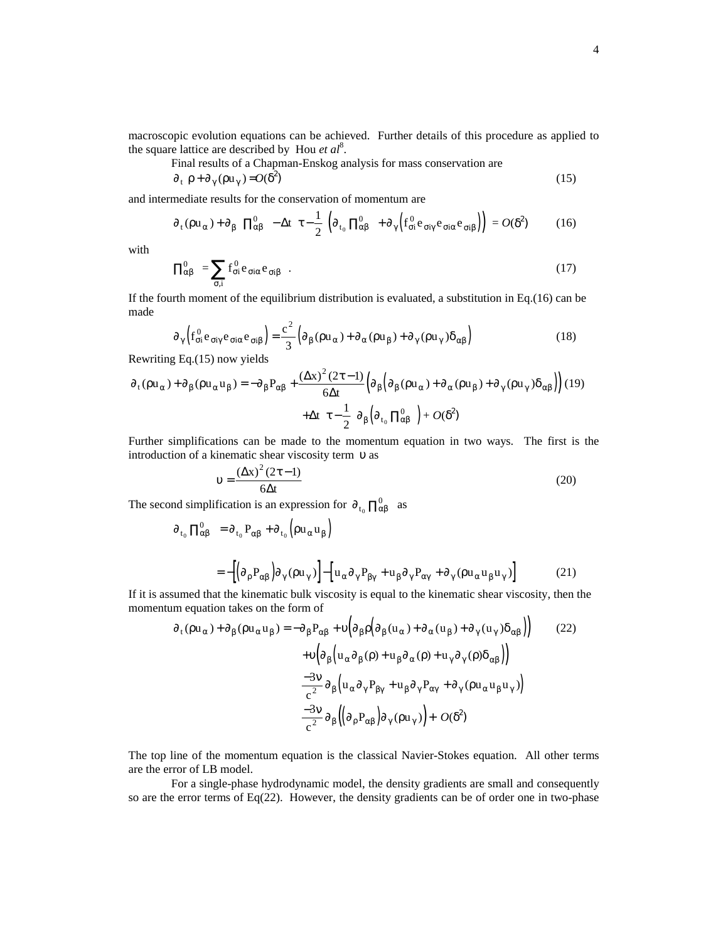macroscopic evolution equations can be achieved. Further details of this procedure as applied to the square lattice are described by Hou *et al*<sup>8</sup>.

Final results of a Chapman-Enskog analysis for mass conservation are

$$
\partial_t \rho + \partial_\gamma (\rho u_\gamma) = O(\delta^2) \tag{15}
$$

and intermediate results for the conservation of momentum are

$$
\partial_t (\rho u_\alpha) + \partial_\beta \left[ \Pi_{\alpha\beta}^0 - \Delta t \left( \tau - \frac{1}{2} \right) \left( \partial_{t_0} \Pi_{\alpha\beta}^0 + \partial_\gamma \left( f_{\alpha i}^0 e_{\sigma i \gamma} e_{\sigma i \alpha} e_{\sigma i \beta} \right) \right) \right] = O(\delta^2)
$$
 (16)

with

$$
\Pi_{\alpha\beta}^{0} = \sum_{\sigma,i} f_{\sigma i}^{0} e_{\sigma i\alpha} e_{\sigma i\beta} . \qquad (17)
$$

If the fourth moment of the equilibrium distribution is evaluated, a substitution in Eq.(16) can be made

$$
\partial_{\gamma} \left( f_{\sigma i}^{0} e_{\sigma i \gamma} e_{\sigma i \alpha} e_{\sigma i \beta} \right) = \frac{c^{2}}{3} \left( \partial_{\beta} (\rho u_{\alpha}) + \partial_{\alpha} (\rho u_{\beta}) + \partial_{\gamma} (\rho u_{\gamma}) \delta_{\alpha \beta} \right)
$$
(18)

Rewriting Eq.(15) now yields

$$
\partial_{t}(\rho u_{\alpha}) + \partial_{\beta}(\rho u_{\alpha} u_{\beta}) = -\partial_{\beta}P_{\alpha\beta} + \frac{(\Delta x)^{2}(2\tau - 1)}{6\Delta t} \Big(\partial_{\beta}(\partial_{\beta}(\rho u_{\alpha}) + \partial_{\alpha}(\rho u_{\beta}) + \partial_{\gamma}(\rho u_{\gamma})\delta_{\alpha\beta}\Big)\Big) (19) + \Delta t \Big(\tau - \frac{1}{2}\Big)\partial_{\beta}(\partial_{t_{0}}\prod_{\alpha\beta}^{0} + O(\delta^{2})
$$

Further simplifications can be made to the momentum equation in two ways. The first is the introduction of a kinematic shear viscosity term υ as

$$
v = \frac{(\Delta x)^2 (2\tau - 1)}{6\Delta t}
$$
 (20)

The second simplification is an expression for  $\partial_{t_0} \prod_{\alpha\beta}^0$  as

$$
\partial_{t_0} \Pi_{\alpha\beta}^0 = \partial_{t_0} P_{\alpha\beta} + \partial_{t_0} (\rho u_{\alpha} u_{\beta})
$$
  
= 
$$
-[(\partial_{\rho} P_{\alpha\beta}) \partial_{\gamma} (\rho u_{\gamma})] - [u_{\alpha} \partial_{\gamma} P_{\beta\gamma} + u_{\beta} \partial_{\gamma} P_{\alpha\gamma} + \partial_{\gamma} (\rho u_{\alpha} u_{\beta} u_{\gamma})]
$$
(21)

If it is assumed that the kinematic bulk viscosity is equal to the kinematic shear viscosity, then the momentum equation takes on the form of  $\overline{a}$ 

$$
\partial_{t}(\rho u_{\alpha}) + \partial_{\beta}(\rho u_{\alpha} u_{\beta}) = -\partial_{\beta}P_{\alpha\beta} + \upsilon \Big(\partial_{\beta}\rho \Big(\partial_{\beta}(u_{\alpha}) + \partial_{\alpha}(u_{\beta}) + \partial_{\gamma}(u_{\gamma})\delta_{\alpha\beta}\Big)\Big) \qquad (22)
$$

$$
+ \upsilon \Big(\partial_{\beta}\Big(u_{\alpha}\partial_{\beta}(\rho) + u_{\beta}\partial_{\alpha}(\rho) + u_{\gamma}\partial_{\gamma}(\rho)\delta_{\alpha\beta}\Big)\Big) -\frac{-3\upsilon}{c^{2}}\partial_{\beta}\Big(u_{\alpha}\partial_{\gamma}P_{\beta\gamma} + u_{\beta}\partial_{\gamma}P_{\alpha\gamma} + \partial_{\gamma}(\rho u_{\alpha}u_{\beta}u_{\gamma})\Big) -\frac{-3\upsilon}{c^{2}}\partial_{\beta}\Big(\Big(\partial_{\rho}P_{\alpha\beta}\Big)\partial_{\gamma}(\rho u_{\gamma})\Big) + O(\delta^{2})
$$

The top line of the momentum equation is the classical Navier-Stokes equation. All other terms are the error of LB model.

For a single-phase hydrodynamic model, the density gradients are small and consequently so are the error terms of Eq(22). However, the density gradients can be of order one in two-phase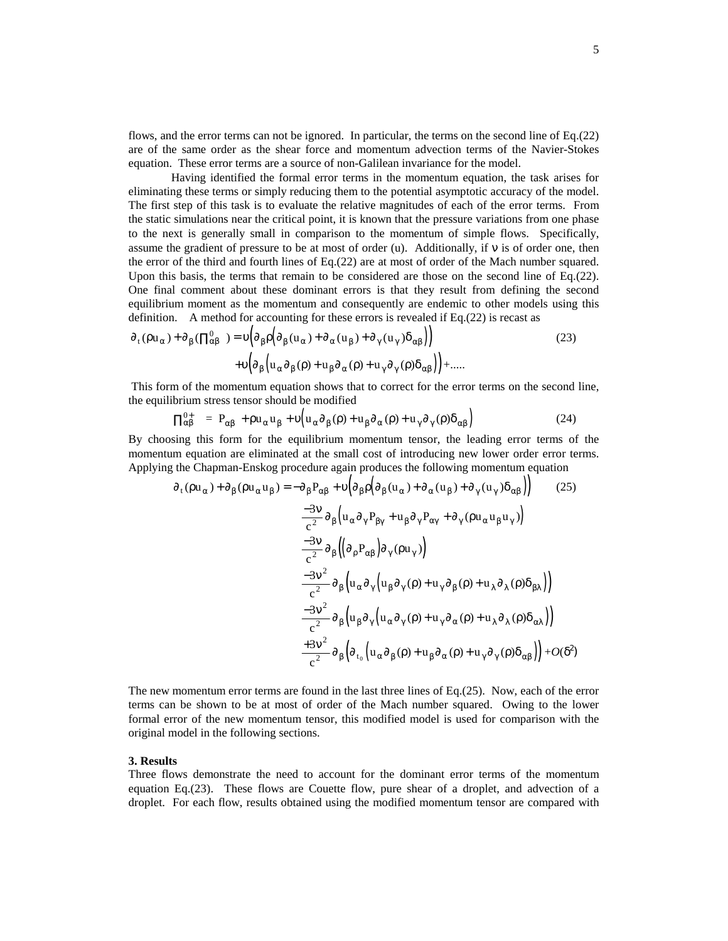flows, and the error terms can not be ignored. In particular, the terms on the second line of Eq.(22) are of the same order as the shear force and momentum advection terms of the Navier-Stokes equation. These error terms are a source of non-Galilean invariance for the model.

Having identified the formal error terms in the momentum equation, the task arises for eliminating these terms or simply reducing them to the potential asymptotic accuracy of the model. The first step of this task is to evaluate the relative magnitudes of each of the error terms. From the static simulations near the critical point, it is known that the pressure variations from one phase to the next is generally small in comparison to the momentum of simple flows. Specifically, assume the gradient of pressure to be at most of order (u). Additionally, if ν is of order one, then the error of the third and fourth lines of Eq.(22) are at most of order of the Mach number squared. Upon this basis, the terms that remain to be considered are those on the second line of Eq.(22). One final comment about these dominant errors is that they result from defining the second equilibrium moment as the momentum and consequently are endemic to other models using this definition. A method for accounting for these errors is revealed if Eq.(22) is recast as

$$
\partial_{t}(\rho u_{\alpha}) + \partial_{\beta}(\Pi_{\alpha\beta}^{0}) = \upsilon \Big( \partial_{\beta}\rho \Big( \partial_{\beta}(u_{\alpha}) + \partial_{\alpha}(u_{\beta}) + \partial_{\gamma}(u_{\gamma})\delta_{\alpha\beta} \Big) \Big)
$$
\n
$$
+ \upsilon \Big( \partial_{\beta}\Big( u_{\alpha}\partial_{\beta}(\rho) + u_{\beta}\partial_{\alpha}(\rho) + u_{\gamma}\partial_{\gamma}(\rho)\delta_{\alpha\beta} \Big) \Big) + \dots \tag{23}
$$

This form of the momentum equation shows that to correct for the error terms on the second line, the equilibrium stress tensor should be modified

$$
\Pi_{\alpha\beta}^{0+} = P_{\alpha\beta} + \rho u_{\alpha} u_{\beta} + v \Big( u_{\alpha} \partial_{\beta}(\rho) + u_{\beta} \partial_{\alpha}(\rho) + u_{\gamma} \partial_{\gamma}(\rho) \delta_{\alpha\beta} \Big)
$$
(24)

By choosing this form for the equilibrium momentum tensor, the leading error terms of the momentum equation are eliminated at the small cost of introducing new lower order error terms. Applying the Chapman-Enskog procedure again produces the following momentum equation

$$
\partial_{t}(\rho u_{\alpha}) + \partial_{\beta}(\rho u_{\alpha} u_{\beta}) = -\partial_{\beta}P_{\alpha\beta} + \upsilon \Big(\partial_{\beta}\rho\Big(\partial_{\beta}(u_{\alpha}) + \partial_{\alpha}(u_{\beta}) + \partial_{\gamma}(u_{\gamma})\delta_{\alpha\beta}\Big)\Big) \qquad (25)
$$

$$
\frac{-3\upsilon}{c^{2}}\partial_{\beta}\Big(u_{\alpha}\partial_{\gamma}P_{\beta\gamma} + u_{\beta}\partial_{\gamma}P_{\alpha\gamma} + \partial_{\gamma}(\rho u_{\alpha}u_{\beta}u_{\gamma})\Big)
$$

$$
\frac{-3\upsilon}{c^{2}}\partial_{\beta}\Big(\Big(\partial_{\rho}P_{\alpha\beta}\Big)\partial_{\gamma}(\rho u_{\gamma})\Big)
$$

$$
\frac{-3\upsilon^{2}}{c^{2}}\partial_{\beta}\Big(u_{\alpha}\partial_{\gamma}\Big(u_{\beta}\partial_{\gamma}(\rho) + u_{\gamma}\partial_{\beta}(\rho) + u_{\lambda}\partial_{\lambda}(\rho)\delta_{\beta\lambda}\Big)\Big)
$$

$$
\frac{-3\upsilon^{2}}{c^{2}}\partial_{\beta}\Big(u_{\beta}\partial_{\gamma}\Big(u_{\alpha}\partial_{\gamma}(\rho) + u_{\gamma}\partial_{\alpha}(\rho) + u_{\lambda}\partial_{\lambda}(\rho)\delta_{\alpha\lambda}\Big)\Big)
$$

$$
\frac{+3\upsilon^{2}}{c^{2}}\partial_{\beta}\Big(\partial_{t_{0}}\Big(u_{\alpha}\partial_{\beta}(\rho) + u_{\beta}\partial_{\alpha}(\rho) + u_{\gamma}\partial_{\gamma}(\rho)\delta_{\alpha\beta}\Big)\Big) + O(\delta^{2})
$$

The new momentum error terms are found in the last three lines of Eq.(25). Now, each of the error terms can be shown to be at most of order of the Mach number squared. Owing to the lower formal error of the new momentum tensor, this modified model is used for comparison with the original model in the following sections.

# **3. Results**

Three flows demonstrate the need to account for the dominant error terms of the momentum equation Eq.(23). These flows are Couette flow, pure shear of a droplet, and advection of a droplet. For each flow, results obtained using the modified momentum tensor are compared with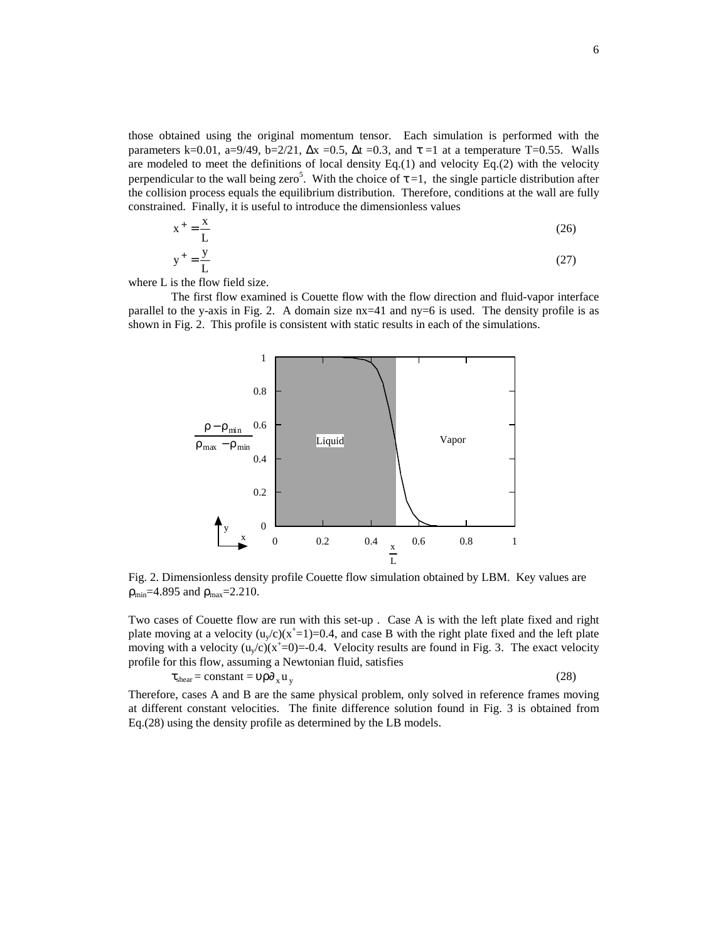those obtained using the original momentum tensor. Each simulation is performed with the parameters k=0.01, a=9/49, b=2/21,  $\Delta x$  =0.5,  $\Delta t$  =0.3, and  $\tau$  =1 at a temperature T=0.55. Walls are modeled to meet the definitions of local density Eq.(1) and velocity Eq.(2) with the velocity perpendicular to the wall being zero<sup>5</sup>. With the choice of  $\tau = 1$ , the single particle distribution after the collision process equals the equilibrium distribution. Therefore, conditions at the wall are fully constrained. Finally, it is useful to introduce the dimensionless values

$$
x^{+} = \frac{x}{L}
$$
 (26)  

$$
+ y
$$
 (27)

$$
y^+ = \frac{y}{L} \tag{27}
$$

where L is the flow field size.

The first flow examined is Couette flow with the flow direction and fluid-vapor interface parallel to the y-axis in Fig. 2. A domain size nx=41 and ny=6 is used. The density profile is as shown in Fig. 2. This profile is consistent with static results in each of the simulations.



Fig. 2. Dimensionless density profile Couette flow simulation obtained by LBM. Key values are  $\rho_{\text{min}}$ =4.895 and  $\rho_{\text{max}}$ =2.210.

Two cases of Couette flow are run with this set-up . Case A is with the left plate fixed and right plate moving at a velocity  $(u_y/c)(x^+=1)=0.4$ , and case B with the right plate fixed and the left plate moving with a velocity  $(u_y/c)(x^+=0) = 0.4$ . Velocity results are found in Fig. 3. The exact velocity profile for this flow, assuming a Newtonian fluid, satisfies

$$
\tau_{shear} = constant = \nu \rho \partial_x u_y
$$

(28)

Therefore, cases A and B are the same physical problem, only solved in reference frames moving at different constant velocities. The finite difference solution found in Fig. 3 is obtained from Eq.(28) using the density profile as determined by the LB models.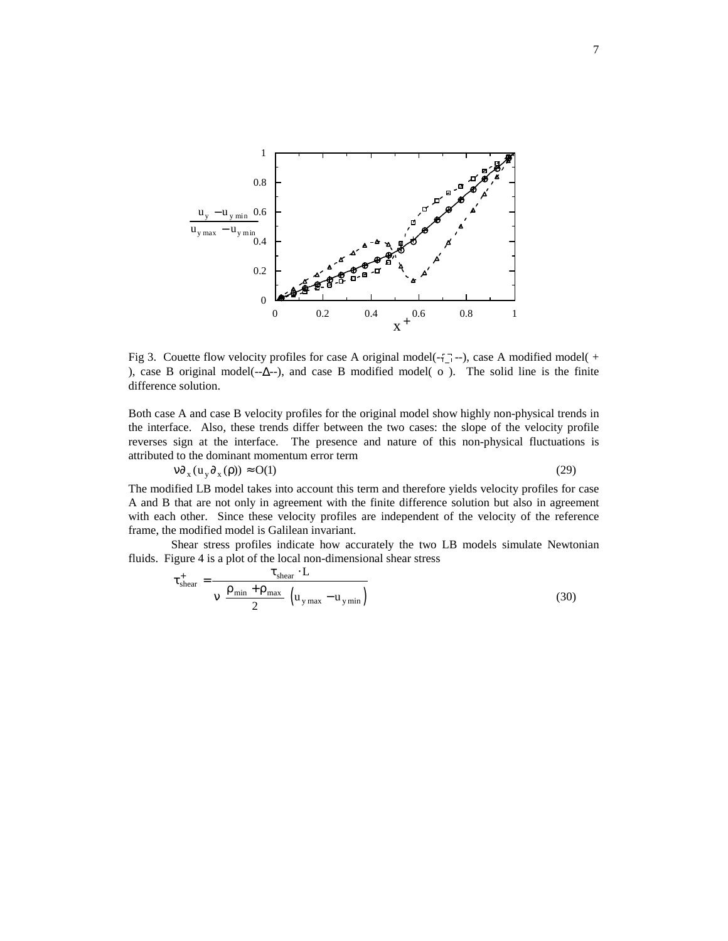

Fig 3. Couette flow velocity profiles for case A original model( $-\frac{1}{2}$ --), case A modified model( $+$ ), case B original model(--∆--), and case B modified model( o ). The solid line is the finite difference solution.

Both case A and case B velocity profiles for the original model show highly non-physical trends in the interface. Also, these trends differ between the two cases: the slope of the velocity profile reverses sign at the interface. The presence and nature of this non-physical fluctuations is attributed to the dominant momentum error term

$$
\nu \partial_x (u_y \partial_x (\rho)) \approx O(1) \tag{29}
$$

The modified LB model takes into account this term and therefore yields velocity profiles for case A and B that are not only in agreement with the finite difference solution but also in agreement with each other. Since these velocity profiles are independent of the velocity of the reference frame, the modified model is Galilean invariant.

Shear stress profiles indicate how accurately the two LB models simulate Newtonian fluids. Figure 4 is a plot of the local non-dimensional shear stress

$$
\tau_{\text{shear}}^{+} = \frac{\tau_{\text{shear}} \cdot L}{\sqrt{\left(\frac{\rho_{\text{min}} + \rho_{\text{max}}}{2}\right) \left(u_{\text{y max}} - u_{\text{y min}}\right)}}
$$
(30)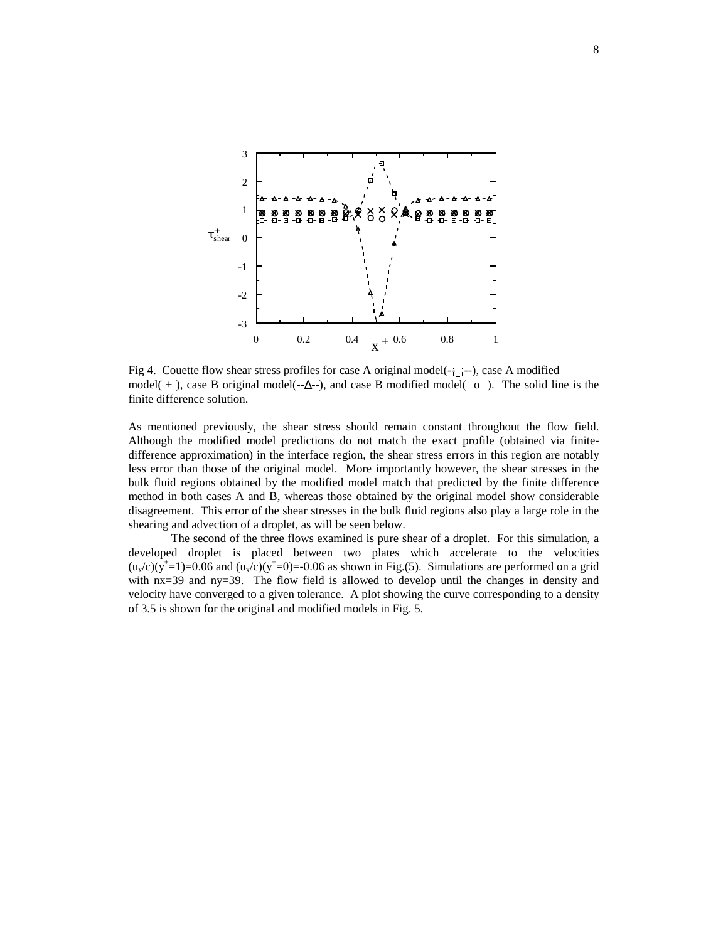

Fig 4. Couette flow shear stress profiles for case A original model( $-\frac{1}{1}$ --), case A modified model( + ), case B original model( $-\Delta$ --), and case B modified model(  $\circ$ ). The solid line is the finite difference solution.

As mentioned previously, the shear stress should remain constant throughout the flow field. Although the modified model predictions do not match the exact profile (obtained via finitedifference approximation) in the interface region, the shear stress errors in this region are notably less error than those of the original model. More importantly however, the shear stresses in the bulk fluid regions obtained by the modified model match that predicted by the finite difference method in both cases A and B, whereas those obtained by the original model show considerable disagreement. This error of the shear stresses in the bulk fluid regions also play a large role in the shearing and advection of a droplet, as will be seen below.

The second of the three flows examined is pure shear of a droplet. For this simulation, a developed droplet is placed between two plates which accelerate to the velocities  $(u_x/c)(y^+=1)=0.06$  and  $(u_x/c)(y^+=0)=0.06$  as shown in Fig.(5). Simulations are performed on a grid with nx=39 and ny=39. The flow field is allowed to develop until the changes in density and velocity have converged to a given tolerance. A plot showing the curve corresponding to a density of 3.5 is shown for the original and modified models in Fig. 5.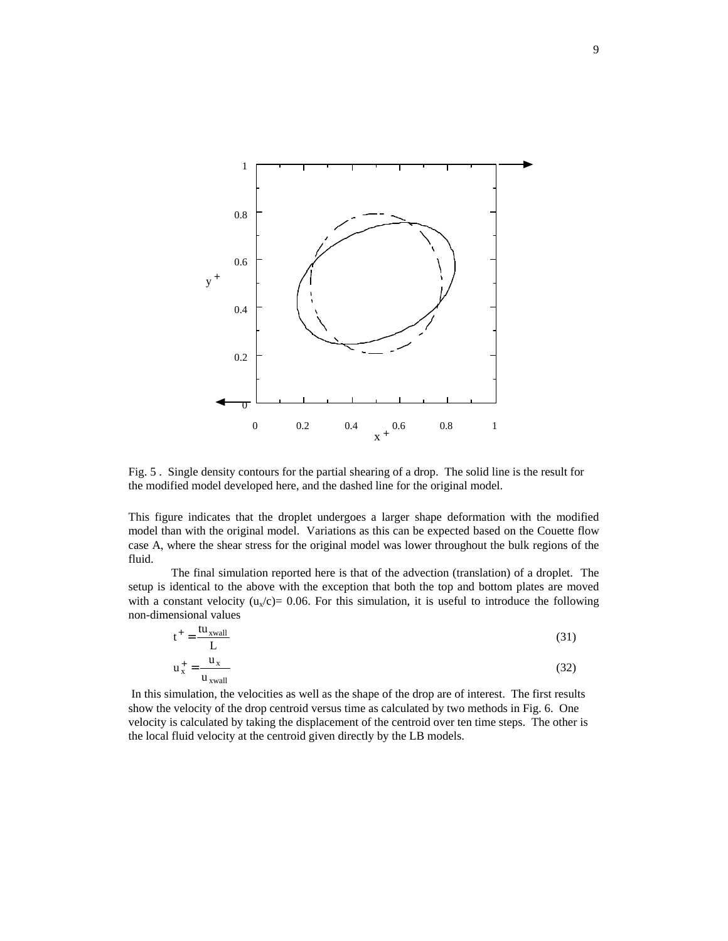

Fig. 5 . Single density contours for the partial shearing of a drop. The solid line is the result for the modified model developed here, and the dashed line for the original model.

This figure indicates that the droplet undergoes a larger shape deformation with the modified model than with the original model. Variations as this can be expected based on the Couette flow case A, where the shear stress for the original model was lower throughout the bulk regions of the fluid.

The final simulation reported here is that of the advection (translation) of a droplet. The setup is identical to the above with the exception that both the top and bottom plates are moved with a constant velocity ( $u_x/c$ )= 0.06. For this simulation, it is useful to introduce the following non-dimensional values

$$
t^{+} = \frac{tu_{xwall}}{L}
$$
 (31)

$$
u_x^+ = \frac{u_x}{u_{xwall}}
$$
 (32)

 In this simulation, the velocities as well as the shape of the drop are of interest. The first results show the velocity of the drop centroid versus time as calculated by two methods in Fig. 6. One velocity is calculated by taking the displacement of the centroid over ten time steps. The other is the local fluid velocity at the centroid given directly by the LB models.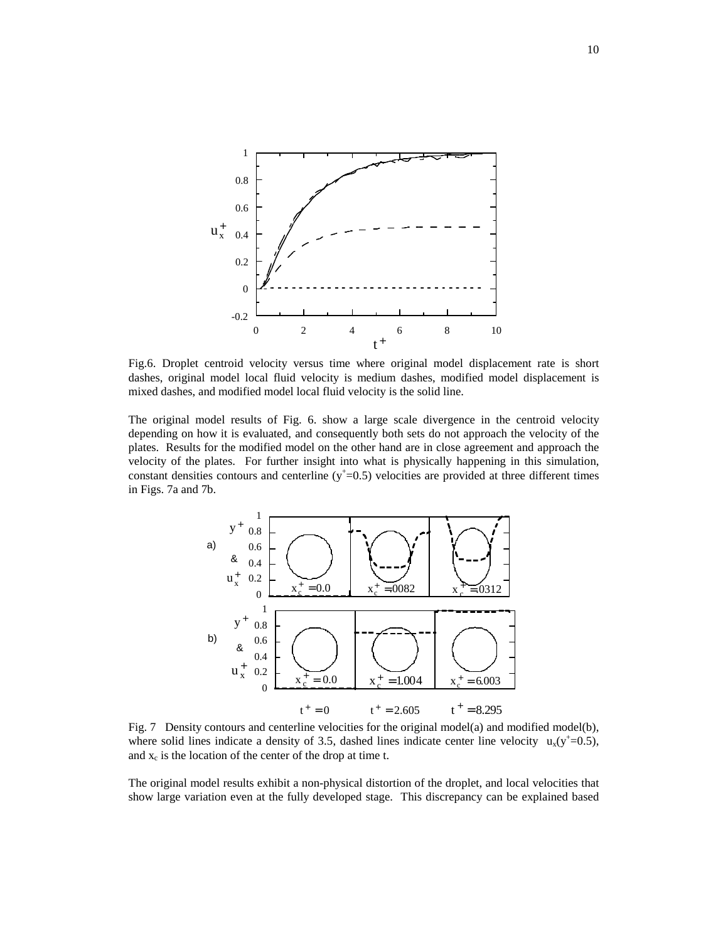

Fig.6. Droplet centroid velocity versus time where original model displacement rate is short dashes, original model local fluid velocity is medium dashes, modified model displacement is mixed dashes, and modified model local fluid velocity is the solid line.

The original model results of Fig. 6. show a large scale divergence in the centroid velocity depending on how it is evaluated, and consequently both sets do not approach the velocity of the plates. Results for the modified model on the other hand are in close agreement and approach the velocity of the plates. For further insight into what is physically happening in this simulation, constant densities contours and centerline  $(y<sup>+</sup>=0.5)$  velocities are provided at three different times in Figs. 7a and 7b.



Fig. 7 Density contours and centerline velocities for the original model(a) and modified model(b), where solid lines indicate a density of 3.5, dashed lines indicate center line velocity  $u_x(y^+=0.5)$ , and  $x_c$  is the location of the center of the drop at time t.

The original model results exhibit a non-physical distortion of the droplet, and local velocities that show large variation even at the fully developed stage. This discrepancy can be explained based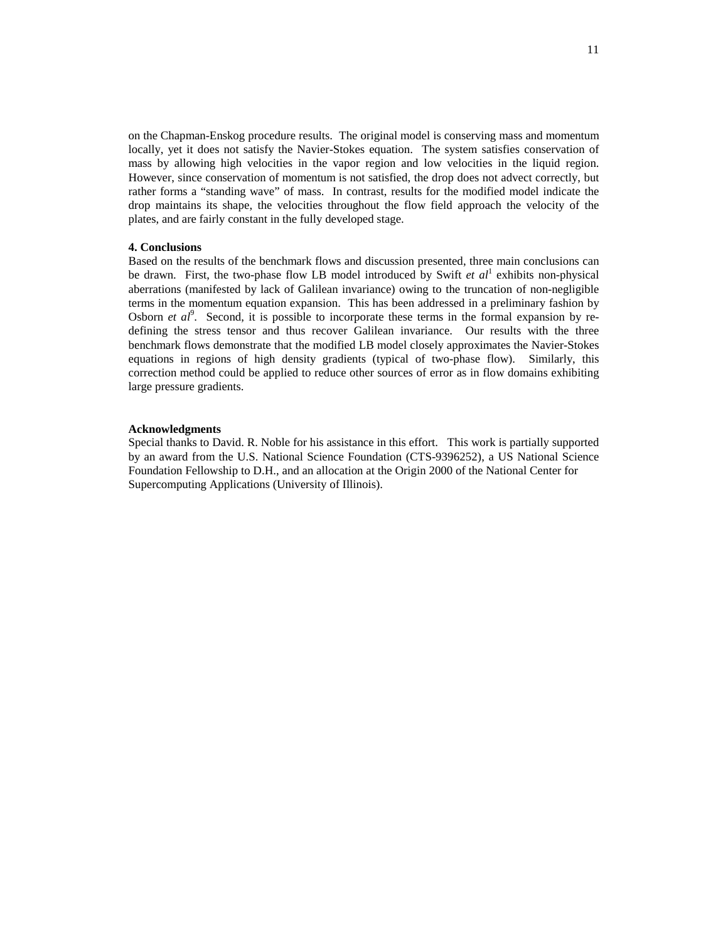on the Chapman-Enskog procedure results. The original model is conserving mass and momentum locally, yet it does not satisfy the Navier-Stokes equation. The system satisfies conservation of mass by allowing high velocities in the vapor region and low velocities in the liquid region. However, since conservation of momentum is not satisfied, the drop does not advect correctly, but rather forms a "standing wave" of mass. In contrast, results for the modified model indicate the drop maintains its shape, the velocities throughout the flow field approach the velocity of the plates, and are fairly constant in the fully developed stage.

#### **4. Conclusions**

Based on the results of the benchmark flows and discussion presented, three main conclusions can be drawn. First, the two-phase flow LB model introduced by Swift  $et al^1$  exhibits non-physical aberrations (manifested by lack of Galilean invariance) owing to the truncation of non-negligible terms in the momentum equation expansion. This has been addressed in a preliminary fashion by Osborn *et al*<sup>9</sup>. Second, it is possible to incorporate these terms in the formal expansion by redefining the stress tensor and thus recover Galilean invariance. Our results with the three benchmark flows demonstrate that the modified LB model closely approximates the Navier-Stokes equations in regions of high density gradients (typical of two-phase flow). Similarly, this correction method could be applied to reduce other sources of error as in flow domains exhibiting large pressure gradients.

### **Acknowledgments**

Special thanks to David. R. Noble for his assistance in this effort. This work is partially supported by an award from the U.S. National Science Foundation (CTS-9396252), a US National Science Foundation Fellowship to D.H., and an allocation at the Origin 2000 of the National Center for Supercomputing Applications (University of Illinois).